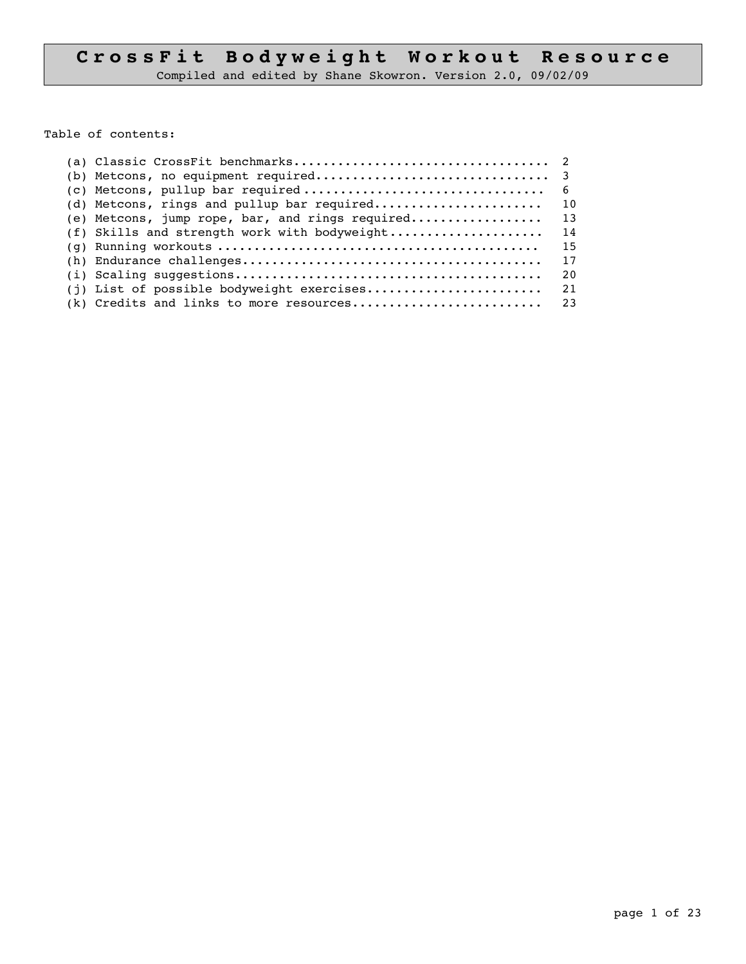# CrossFit Bodyweight Workout Resource

Compiled and edited by Shane Skowron. Version 2.0, 09/02/09

Table of contents:

| (e) Metcons, jump rope, bar, and rings required | 13 |
|-------------------------------------------------|----|
| (f) Skills and strength work with bodyweight    | 14 |
|                                                 | 15 |
|                                                 | 17 |
|                                                 | 20 |
| (j) List of possible bodyweight exercises       | 21 |
|                                                 |    |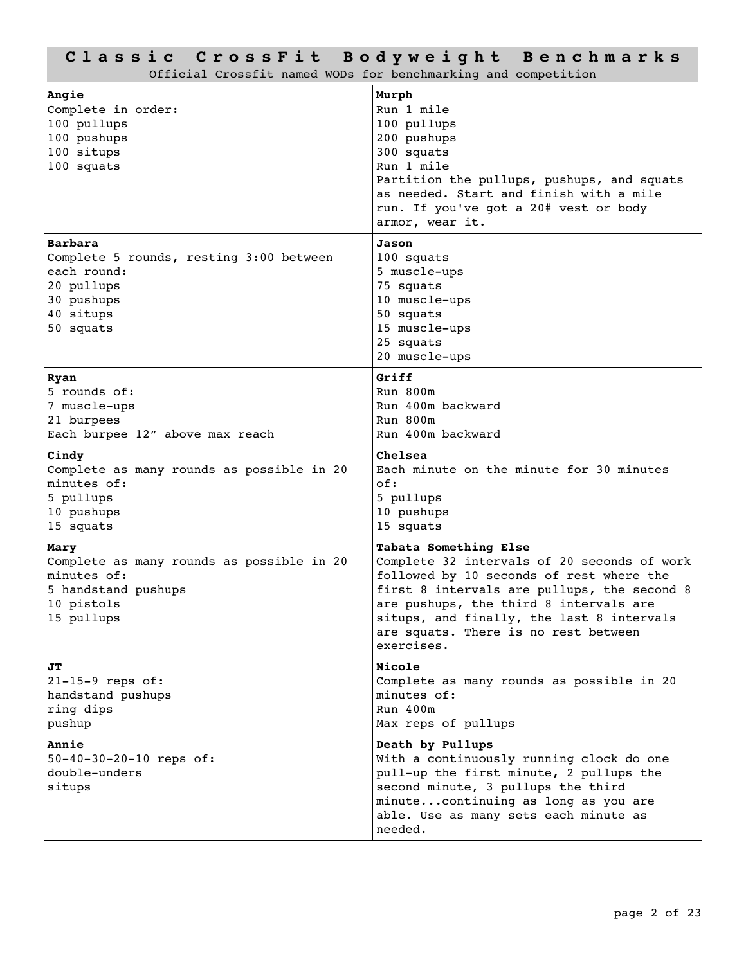| Classic CrossFit Bodyweight Benchmarks<br>Official Crossfit named WODs for benchmarking and competition                 |                                                                                                                                                                                                                                                                                                              |  |  |
|-------------------------------------------------------------------------------------------------------------------------|--------------------------------------------------------------------------------------------------------------------------------------------------------------------------------------------------------------------------------------------------------------------------------------------------------------|--|--|
| Angie<br>Complete in order:<br>100 pullups<br>100 pushups<br>100 situps<br>100 squats                                   | Murph<br>Run 1 mile<br>100 pullups<br>200 pushups<br>300 squats<br>Run 1 mile<br>Partition the pullups, pushups, and squats<br>as needed. Start and finish with a mile<br>run. If you've got a 20# vest or body<br>armor, wear it.                                                                           |  |  |
| Barbara<br>Complete 5 rounds, resting 3:00 between<br>each round:<br>20 pullups<br>30 pushups<br>40 situps<br>50 squats | Jason<br>100 squats<br>5 muscle-ups<br>75 squats<br>10 muscle-ups<br>50 squats<br>15 muscle-ups<br>25 squats<br>20 muscle-ups                                                                                                                                                                                |  |  |
| Ryan<br>5 rounds of:<br>7 muscle-ups<br>21 burpees<br>Each burpee 12" above max reach                                   | Griff<br>Run 800m<br>Run 400m backward<br>Run 800m<br>Run 400m backward                                                                                                                                                                                                                                      |  |  |
| Cindy<br>Complete as many rounds as possible in 20<br>minutes of:<br>5 pullups<br>10 pushups<br>15 squats               | Chelsea<br>Each minute on the minute for 30 minutes<br>of:<br>5 pullups<br>10 pushups<br>15 squats                                                                                                                                                                                                           |  |  |
| Mary<br>Complete as many rounds as possible in 20<br>minutes of:<br>5 handstand pushups<br>10 pistols<br>15 pullups     | Tabata Something Else<br>Complete 32 intervals of 20 seconds of work<br>followed by 10 seconds of rest where the<br>first 8 intervals are pullups, the second 8<br>are pushups, the third 8 intervals are<br>situps, and finally, the last 8 intervals<br>are squats. There is no rest between<br>exercises. |  |  |
| JT<br>$21-15-9$ reps of:<br>handstand pushups<br>ring dips<br>pushup                                                    | Nicole<br>Complete as many rounds as possible in 20<br>minutes of:<br>Run 400m<br>Max reps of pullups                                                                                                                                                                                                        |  |  |
| Annie<br>50-40-30-20-10 reps of:<br>double-unders<br>situps                                                             | Death by Pullups<br>With a continuously running clock do one<br>pull-up the first minute, 2 pullups the<br>second minute, 3 pullups the third<br>minute continuing as long as you are<br>able. Use as many sets each minute as<br>needed.                                                                    |  |  |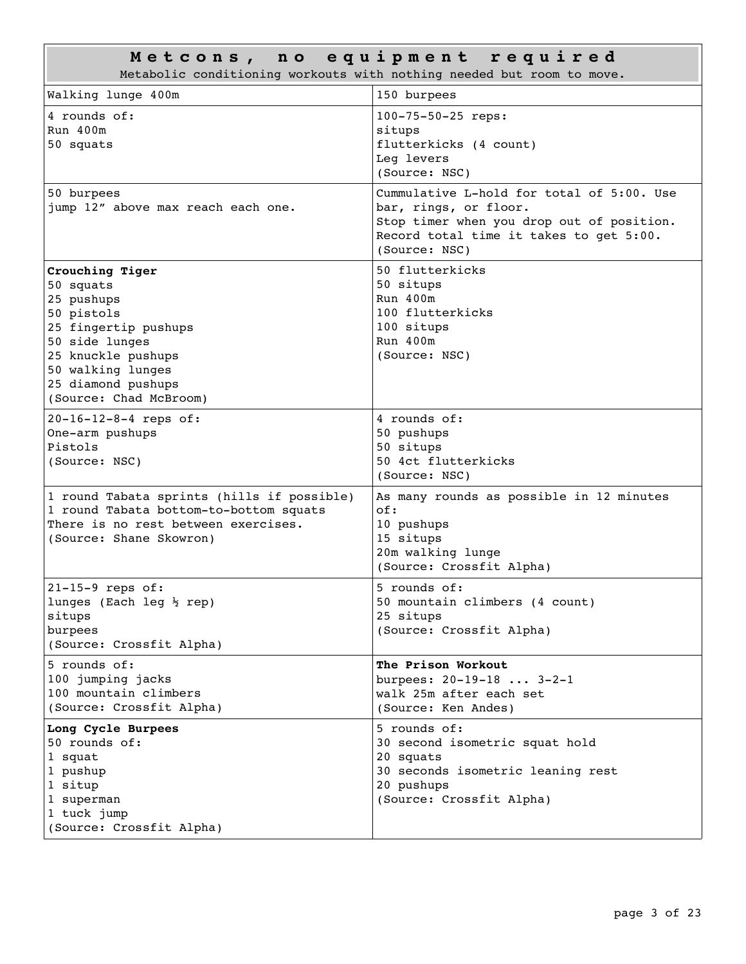| Metcons, no equipment required<br>Metabolic conditioning workouts with nothing needed but room to move.                                                                                       |                                                                                                                                                                             |  |
|-----------------------------------------------------------------------------------------------------------------------------------------------------------------------------------------------|-----------------------------------------------------------------------------------------------------------------------------------------------------------------------------|--|
| Walking lunge 400m                                                                                                                                                                            | 150 burpees                                                                                                                                                                 |  |
| 4 rounds of:<br>$Run$ 400 $m$<br>50 squats                                                                                                                                                    | 100-75-50-25 reps:<br>situps<br>flutterkicks (4 count)<br>Leq levers<br>(Source: NSC)                                                                                       |  |
| 50 burpees<br>jump 12" above max reach each one.                                                                                                                                              | Cummulative L-hold for total of 5:00. Use<br>bar, rings, or floor.<br>Stop timer when you drop out of position.<br>Record total time it takes to get 5:00.<br>(Source: NSC) |  |
| Crouching Tiger<br>50 squats<br>25 pushups<br>50 pistols<br>25 fingertip pushups<br>50 side lunges<br>25 knuckle pushups<br>50 walking lunges<br>25 diamond pushups<br>(Source: Chad McBroom) | 50 flutterkicks<br>50 situps<br>Run 400m<br>100 flutterkicks<br>100 situps<br>Run 400m<br>(Source: NSC)                                                                     |  |
| 20-16-12-8-4 reps of:<br>One-arm pushups<br>Pistols<br>(Source: NSC)                                                                                                                          | 4 rounds of:<br>50 pushups<br>50 situps<br>50 4ct flutterkicks<br>(Source: NSC)                                                                                             |  |
| 1 round Tabata sprints (hills if possible)<br>1 round Tabata bottom-to-bottom squats<br>There is no rest between exercises.<br>(Source: Shane Skowron)                                        | As many rounds as possible in 12 minutes<br>of:<br>10 pushups<br>15 situps<br>20m walking lunge<br>(Source: Crossfit Alpha)                                                 |  |
| $21-15-9$ reps of:<br>lunges (Each leg $\frac{1}{2}$ rep)<br>situps<br>burpees<br>(Source: Crossfit Alpha)                                                                                    | 5 rounds of:<br>50 mountain climbers (4 count)<br>25 situps<br>(Source: Crossfit Alpha)                                                                                     |  |
| 5 rounds of:<br>100 jumping jacks<br>100 mountain climbers<br>(Source: Crossfit Alpha)                                                                                                        | The Prison Workout<br>burpees: $20-19-183-2-1$<br>walk 25m after each set<br>(Source: Ken Andes)                                                                            |  |
| Long Cycle Burpees<br>50 rounds of:<br>1 squat<br>1 pushup<br>1 situp<br>1 superman<br>1 tuck jump<br>(Source: Crossfit Alpha)                                                                | 5 rounds of:<br>30 second isometric squat hold<br>20 squats<br>30 seconds isometric leaning rest<br>20 pushups<br>(Source: Crossfit Alpha)                                  |  |

Л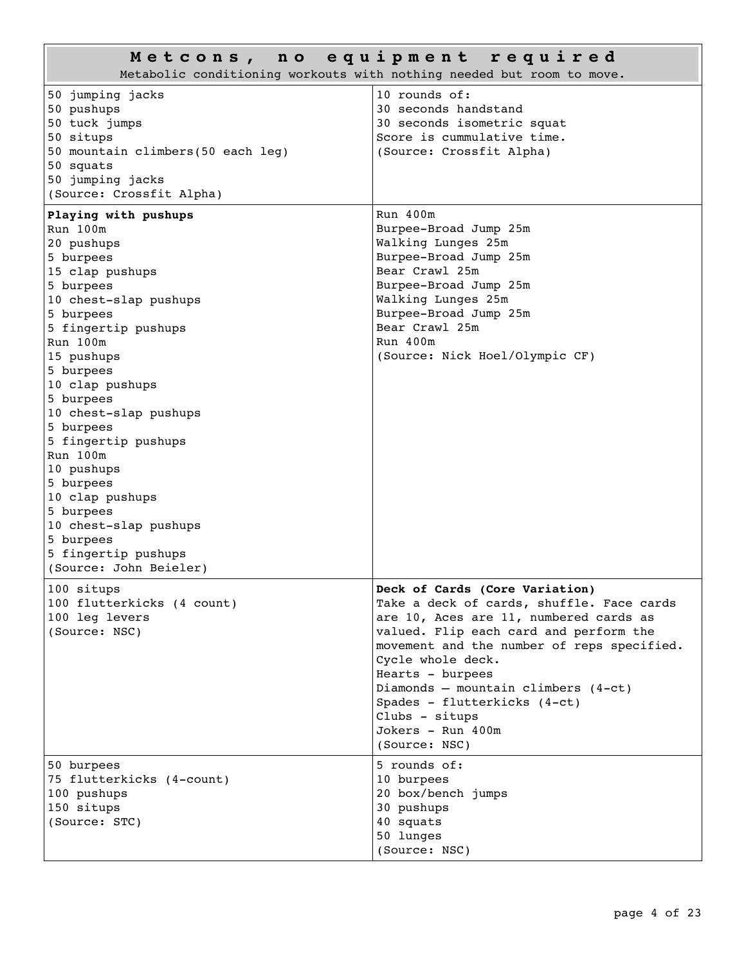| Metcons, no equipment required<br>Metabolic conditioning workouts with nothing needed but room to move.                                                                                                                                                                                                                                                                                                                                                    |                                                                                                                                                                                                                                                                                                                                                                                         |  |
|------------------------------------------------------------------------------------------------------------------------------------------------------------------------------------------------------------------------------------------------------------------------------------------------------------------------------------------------------------------------------------------------------------------------------------------------------------|-----------------------------------------------------------------------------------------------------------------------------------------------------------------------------------------------------------------------------------------------------------------------------------------------------------------------------------------------------------------------------------------|--|
| 50 jumping jacks<br>50 pushups<br>50 tuck jumps<br>50 situps<br>50 mountain climbers(50 each leg)<br>50 squats<br>50 jumping jacks<br>(Source: Crossfit Alpha)                                                                                                                                                                                                                                                                                             | 10 rounds of:<br>30 seconds handstand<br>30 seconds isometric squat<br>Score is cummulative time.<br>(Source: Crossfit Alpha)                                                                                                                                                                                                                                                           |  |
| Playing with pushups<br>Run 100m<br>20 pushups<br>5 burpees<br>15 clap pushups<br>5 burpees<br>10 chest-slap pushups<br>5 burpees<br>5 fingertip pushups<br>Run 100m<br>15 pushups<br>5 burpees<br>10 clap pushups<br>5 burpees<br>10 chest-slap pushups<br>5 burpees<br>5 fingertip pushups<br>Run 100m<br>10 pushups<br>5 burpees<br>10 clap pushups<br>5 burpees<br>10 chest-slap pushups<br>5 burpees<br>5 fingertip pushups<br>(Source: John Beieler) | Run 400m<br>Burpee-Broad Jump 25m<br>Walking Lunges 25m<br>Burpee-Broad Jump 25m<br>Bear Crawl 25m<br>Burpee-Broad Jump 25m<br>Walking Lunges 25m<br>Burpee-Broad Jump 25m<br>Bear Crawl 25m<br>Run 400m<br>(Source: Nick Hoel/Olympic CF)                                                                                                                                              |  |
| 100 situps<br>100 flutterkicks (4 count)<br>100 leg levers<br>(Source: NSC)                                                                                                                                                                                                                                                                                                                                                                                | Deck of Cards (Core Variation)<br>Take a deck of cards, shuffle. Face cards<br>are 10, Aces are 11, numbered cards as<br>valued. Flip each card and perform the<br>movement and the number of reps specified.<br>Cycle whole deck.<br>Hearts - burpees<br>Diamonds - mountain climbers $(4-ct)$<br>Spades - flutterkicks (4-ct)<br>Clubs - situps<br>Jokers - Run 400m<br>(Source: NSC) |  |
| 50 burpees<br>75 flutterkicks (4-count)<br>100 pushups<br>150 situps<br>(Source: STC)                                                                                                                                                                                                                                                                                                                                                                      | 5 rounds of:<br>10 burpees<br>20 box/bench jumps<br>30 pushups<br>40 squats<br>50 lunges<br>(Source: NSC)                                                                                                                                                                                                                                                                               |  |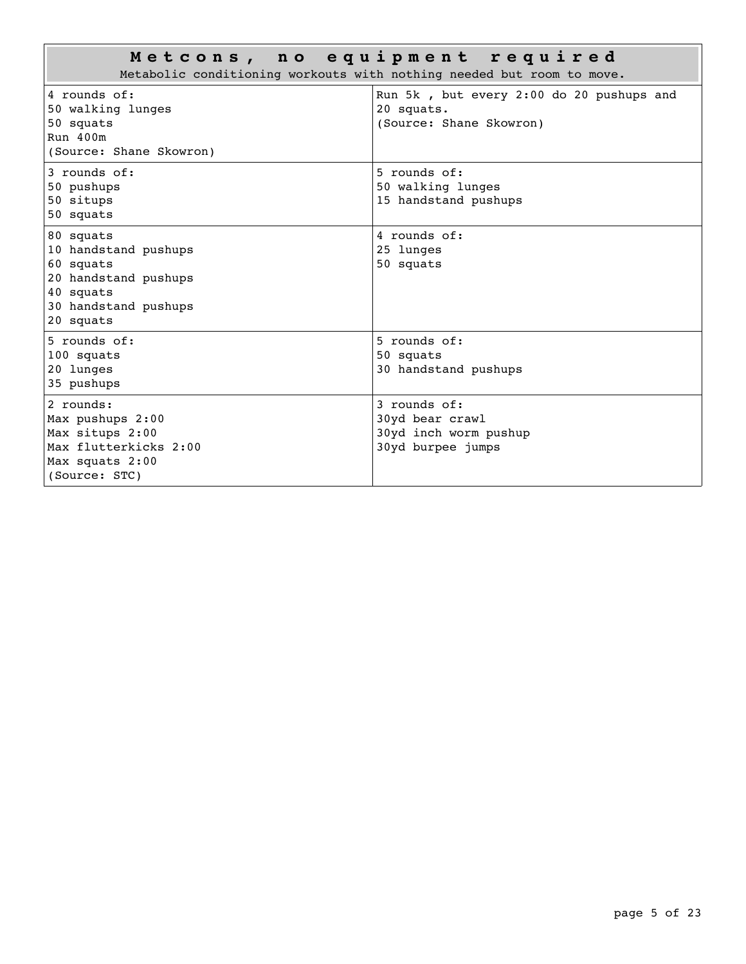| Metcons, no equipment required<br>Metabolic conditioning workouts with nothing needed but room to move.                  |                                                                                   |  |
|--------------------------------------------------------------------------------------------------------------------------|-----------------------------------------------------------------------------------|--|
| 4 rounds of:<br>50 walking lunges<br>50 squats<br>Run 400m<br>(Source: Shane Skowron)                                    | Run 5k, but every 2:00 do 20 pushups and<br>20 squats.<br>(Source: Shane Skowron) |  |
| 3 rounds of:<br>50 pushups<br>50 situps<br>50 squats                                                                     | 5 rounds of:<br>50 walking lunges<br>15 handstand pushups                         |  |
| 80 squats<br>10 handstand pushups<br>60 squats<br>20 handstand pushups<br>40 squats<br>30 handstand pushups<br>20 squats | 4 rounds of:<br>25 lunges<br>50 squats                                            |  |
| $5$ rounds of:<br>100 squats<br>20 lunges<br>35 pushups                                                                  | $5$ rounds of:<br>50 squats<br>30 handstand pushups                               |  |
| 2 rounds:<br>Max pushups 2:00<br>Max situps 2:00<br>Max flutterkicks 2:00<br>Max squats 2:00<br>(Source: STC)            | $3$ rounds of:<br>30yd bear crawl<br>30yd inch worm pushup<br>30yd burpee jumps   |  |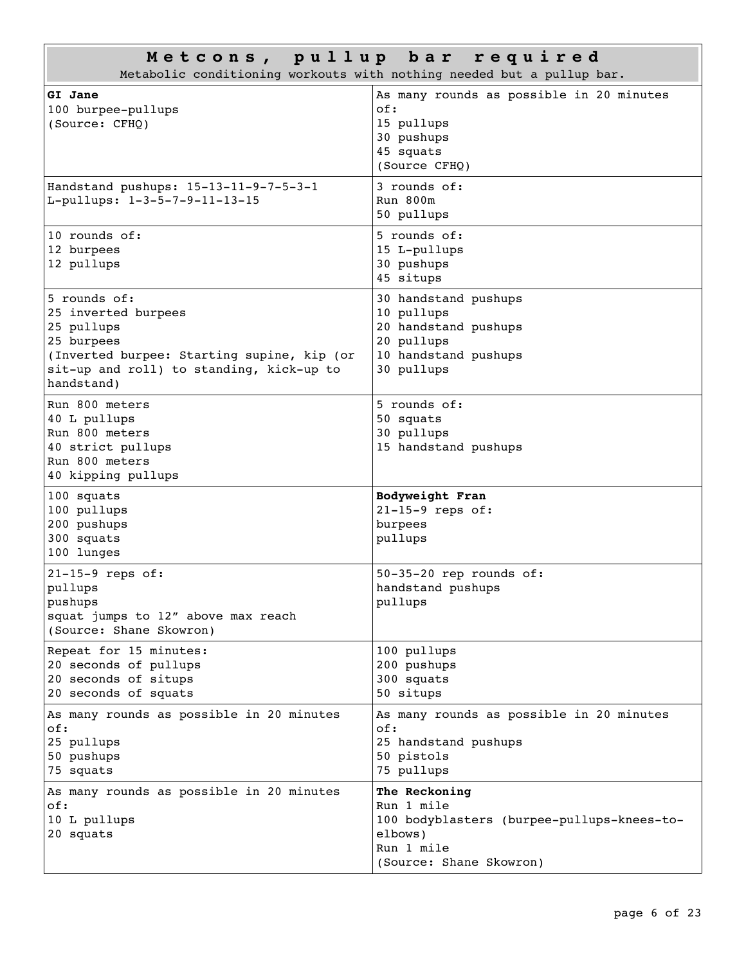| Metcons, pullup bar required<br>Metabolic conditioning workouts with nothing needed but a pullup bar.                                                                   |                                                                                                                               |  |
|-------------------------------------------------------------------------------------------------------------------------------------------------------------------------|-------------------------------------------------------------------------------------------------------------------------------|--|
| GI Jane<br>100 burpee-pullups<br>(Source: CFHQ)                                                                                                                         | As many rounds as possible in 20 minutes<br>of:<br>15 pullups<br>30 pushups<br>45 squats<br>(Source CFHQ)                     |  |
| Handstand pushups: 15-13-11-9-7-5-3-1<br>L-pullups: 1-3-5-7-9-11-13-15                                                                                                  | 3 rounds of:<br>Run 800m<br>50 pullups                                                                                        |  |
| 10 rounds of:<br>12 burpees<br>12 pullups                                                                                                                               | 5 rounds of:<br>15 L-pullups<br>30 pushups<br>45 situps                                                                       |  |
| 5 rounds of:<br>25 inverted burpees<br>25 pullups<br>25 burpees<br>(Inverted burpee: Starting supine, kip (or<br>sit-up and roll) to standing, kick-up to<br>handstand) | 30 handstand pushups<br>10 pullups<br>20 handstand pushups<br>20 pullups<br>10 handstand pushups<br>30 pullups                |  |
| Run 800 meters<br>40 L pullups<br>Run 800 meters<br>40 strict pullups<br>Run 800 meters<br>40 kipping pullups                                                           | 5 rounds of:<br>50 squats<br>30 pullups<br>15 handstand pushups                                                               |  |
| 100 squats<br>100 pullups<br>200 pushups<br>300 squats<br>100 lunges                                                                                                    | Bodyweight Fran<br>$21-15-9$ reps of:<br>burpees<br>pullups                                                                   |  |
| 21-15-9 reps of:<br>pullups<br>pushups<br>squat jumps to 12" above max reach<br>(Source: Shane Skowron)                                                                 | $50-35-20$ rep rounds of:<br>handstand pushups<br>pullups                                                                     |  |
| Repeat for 15 minutes:<br>20 seconds of pullups<br>20 seconds of situps<br>20 seconds of squats                                                                         | 100 pullups<br>200 pushups<br>300 squats<br>50 situps                                                                         |  |
| As many rounds as possible in 20 minutes<br>of:<br>25 pullups<br>50 pushups<br>75 squats                                                                                | As many rounds as possible in 20 minutes<br>of:<br>25 handstand pushups<br>50 pistols<br>75 pullups                           |  |
| As many rounds as possible in 20 minutes<br>of:<br>10 L pullups<br>20 squats                                                                                            | The Reckoning<br>Run 1 mile<br>100 bodyblasters (burpee-pullups-knees-to-<br>elbows)<br>Run 1 mile<br>(Source: Shane Skowron) |  |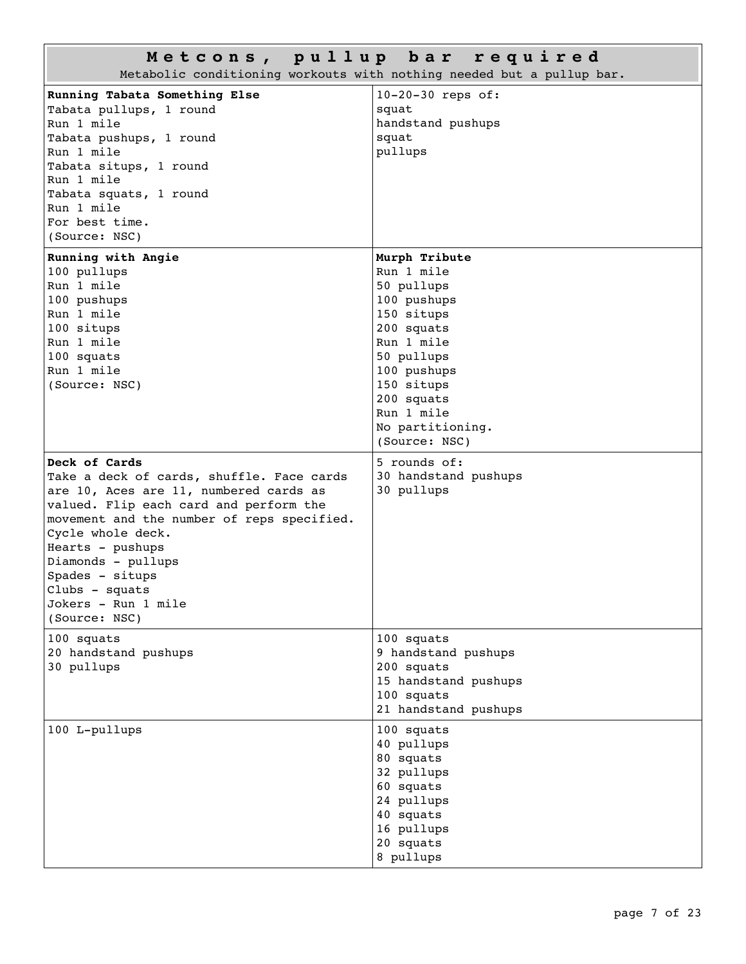| Metcons, pullup bar required<br>Metabolic conditioning workouts with nothing needed but a pullup bar.                                                                                                                                                                                                                                    |                                                                                                                                                                                                                |  |  |
|------------------------------------------------------------------------------------------------------------------------------------------------------------------------------------------------------------------------------------------------------------------------------------------------------------------------------------------|----------------------------------------------------------------------------------------------------------------------------------------------------------------------------------------------------------------|--|--|
| Running Tabata Something Else<br>Tabata pullups, 1 round<br>Run 1 mile<br>Tabata pushups, 1 round<br>Run 1 mile<br>Tabata situps, 1 round<br>Run 1 mile<br>Tabata squats, 1 round<br>Run 1 mile<br>For best time.<br>(Source: NSC)                                                                                                       | 10-20-30 reps of:<br>squat<br>handstand pushups<br>squat<br>pullups                                                                                                                                            |  |  |
| Running with Angie<br>100 pullups<br>Run 1 mile<br>100 pushups<br>Run 1 mile<br>100 situps<br>Run 1 mile<br>100 squats<br>Run 1 mile<br>(Source: NSC)                                                                                                                                                                                    | Murph Tribute<br>Run 1 mile<br>50 pullups<br>100 pushups<br>150 situps<br>200 squats<br>Run 1 mile<br>50 pullups<br>100 pushups<br>150 situps<br>200 squats<br>Run 1 mile<br>No partitioning.<br>(Source: NSC) |  |  |
| Deck of Cards<br>Take a deck of cards, shuffle. Face cards<br>are 10, Aces are 11, numbered cards as<br>valued. Flip each card and perform the<br>movement and the number of reps specified.<br>Cycle whole deck.<br>Hearts - pushups<br>Diamonds - pullups<br>Spades - situps<br>Clubs - squats<br>Jokers – Run 1 mile<br>(Source: NSC) | 5 rounds of:<br>30 handstand pushups<br>30 pullups                                                                                                                                                             |  |  |
| 100 squats<br>20 handstand pushups<br>30 pullups                                                                                                                                                                                                                                                                                         | 100 squats<br>9 handstand pushups<br>200 squats<br>15 handstand pushups<br>100 squats<br>21 handstand pushups                                                                                                  |  |  |
| 100 L-pullups                                                                                                                                                                                                                                                                                                                            | 100 squats<br>40 pullups<br>80 squats<br>32 pullups<br>60 squats<br>24 pullups<br>40 squats<br>16 pullups<br>20 squats<br>8 pullups                                                                            |  |  |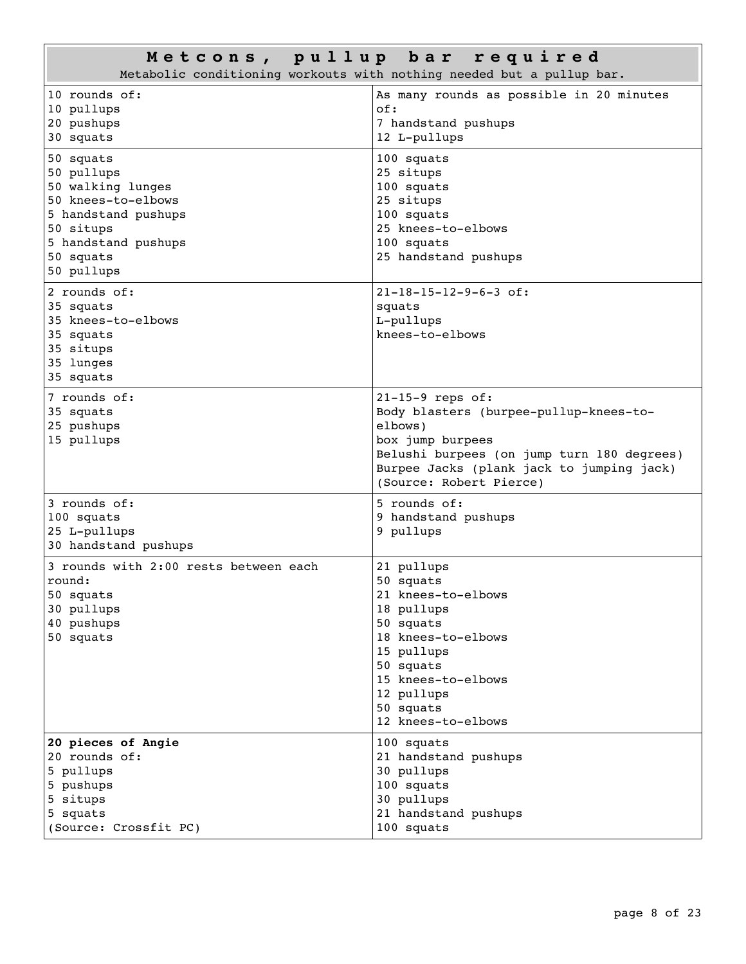## **M e t c o n s , p u l l u p b a r r e q u i r e d**

|                                                                                                                                                          | Metabolic conditioning workouts with nothing needed but a pullup bar.                                                                                                                                             |
|----------------------------------------------------------------------------------------------------------------------------------------------------------|-------------------------------------------------------------------------------------------------------------------------------------------------------------------------------------------------------------------|
| 10 rounds of:<br>10 pullups<br>20 pushups<br>30 squats                                                                                                   | As many rounds as possible in 20 minutes<br>of:<br>7 handstand pushups<br>12 L-pullups                                                                                                                            |
| 50 squats<br>50 pullups<br>50 walking lunges<br>50 knees-to-elbows<br>5 handstand pushups<br>50 situps<br>5 handstand pushups<br>50 squats<br>50 pullups | 100 squats<br>25 situps<br>100 squats<br>25 situps<br>100 squats<br>25 knees-to-elbows<br>100 squats<br>25 handstand pushups                                                                                      |
| 2 rounds of:<br>35 squats<br>35 knees-to-elbows<br>35 squats<br>35 situps<br>35 lunges<br>35 squats                                                      | $21-18-15-12-9-6-3$ of:<br>squats<br>L-pullups<br>knees-to-elbows                                                                                                                                                 |
| 7 rounds of:<br>35 squats<br>25 pushups<br>15 pullups                                                                                                    | $21-15-9$ reps of:<br>Body blasters (burpee-pullup-knees-to-<br>elbows)<br>box jump burpees<br>Belushi burpees (on jump turn 180 degrees)<br>Burpee Jacks (plank jack to jumping jack)<br>(Source: Robert Pierce) |
| 3 rounds of:<br>100 squats<br>25 L-pullups<br>30 handstand pushups                                                                                       | 5 rounds of:<br>9 handstand pushups<br>9 pullups                                                                                                                                                                  |
| 3 rounds with 2:00 rests between each<br>round:<br>50 squats<br>30 pullups<br>40 pushups<br>50 squats                                                    | 21 pullups<br>50 squats<br>21 knees-to-elbows<br>18 pullups<br>50 squats<br>18 knees-to-elbows<br>15 pullups<br>50 squats<br>15 knees-to-elbows<br>12 pullups<br>50 squats<br>12 knees-to-elbows                  |
| 20 pieces of Angie<br>20 rounds of:<br>5 pullups<br>5 pushups<br>5 situps<br>5 squats<br>(Source: Crossfit PC)                                           | 100 squats<br>21 handstand pushups<br>30 pullups<br>100 squats<br>30 pullups<br>21 handstand pushups<br>100 squats                                                                                                |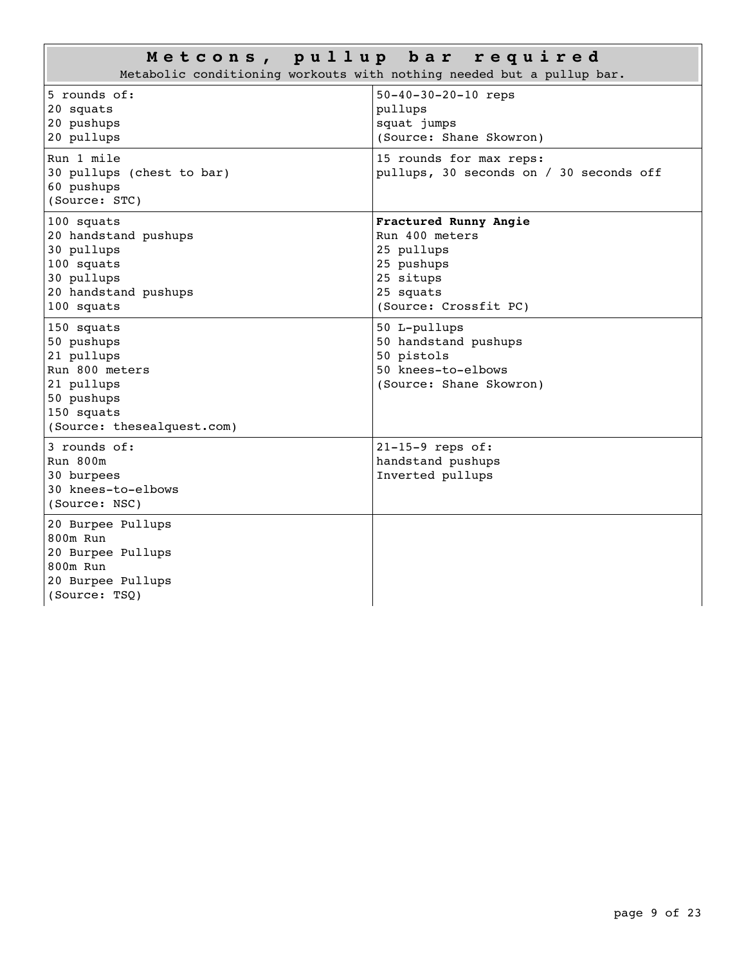|                                                                                                                                  | Metcons, pullup bar required<br>Metabolic conditioning workouts with nothing needed but a pullup bar.                  |
|----------------------------------------------------------------------------------------------------------------------------------|------------------------------------------------------------------------------------------------------------------------|
| 5 rounds of:<br>20 squats<br>20 pushups<br>20 pullups                                                                            | 50-40-30-20-10 reps<br>pullups<br>squat jumps<br>(Source: Shane Skowron)                                               |
| Run 1 mile<br>30 pullups (chest to bar)<br>60 pushups<br>(Source: STC)                                                           | 15 rounds for max reps:<br>pullups, 30 seconds on / 30 seconds off                                                     |
| 100 squats<br>20 handstand pushups<br>30 pullups<br>100 squats<br>30 pullups<br>20 handstand pushups<br>100 squats               | Fractured Runny Angie<br>Run 400 meters<br>25 pullups<br>25 pushups<br>25 situps<br>25 squats<br>(Source: Crossfit PC) |
| 150 squats<br>50 pushups<br>21 pullups<br>Run 800 meters<br>21 pullups<br>50 pushups<br>150 squats<br>(Source: thesealquest.com) | 50 L-pullups<br>50 handstand pushups<br>50 pistols<br>50 knees-to-elbows<br>(Source: Shane Skowron)                    |
| 3 rounds of:<br>Run 800m<br>30 burpees<br>30 knees-to-elbows<br>(Source: NSC)                                                    | 21-15-9 reps of:<br>handstand pushups<br>Inverted pullups                                                              |
| 20 Burpee Pullups<br>800m Run<br>20 Burpee Pullups<br>800m Run<br>20 Burpee Pullups<br>(Source: TSQ)                             |                                                                                                                        |

 $\Box$ 

T.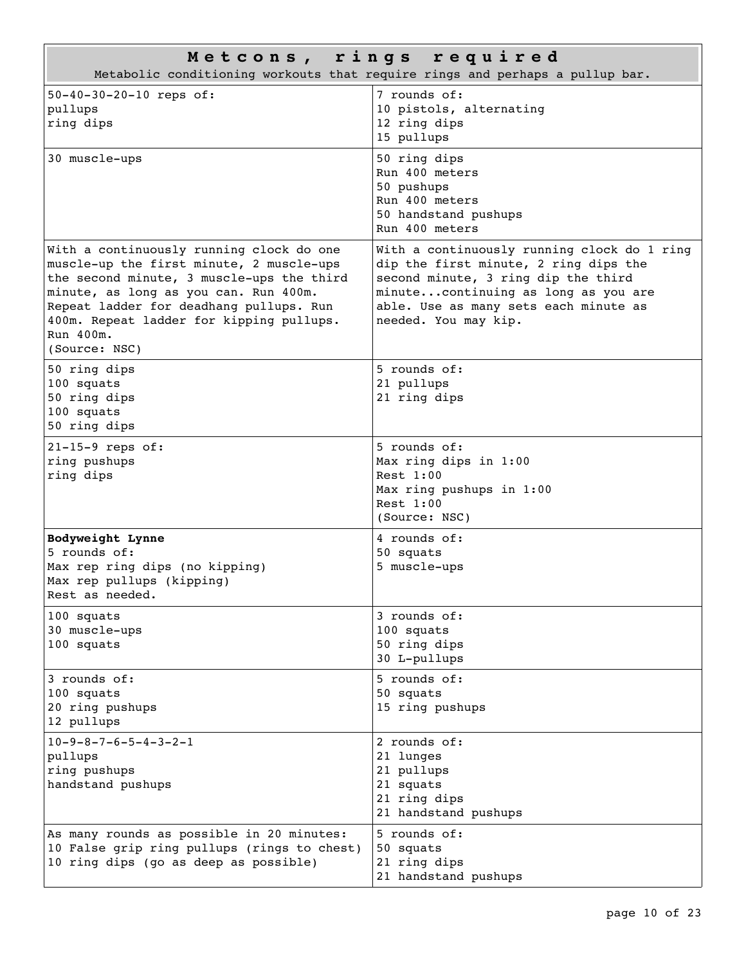|                                                                                                                                                                                                                                                                                                 | Metcons, rings required<br>Metabolic conditioning workouts that require rings and perhaps a pullup bar.                                                                                                                             |
|-------------------------------------------------------------------------------------------------------------------------------------------------------------------------------------------------------------------------------------------------------------------------------------------------|-------------------------------------------------------------------------------------------------------------------------------------------------------------------------------------------------------------------------------------|
| 50-40-30-20-10 reps of:<br>pullups<br>ring dips                                                                                                                                                                                                                                                 | 7 rounds of:<br>10 pistols, alternating<br>12 ring dips<br>15 pullups                                                                                                                                                               |
| 30 muscle-ups                                                                                                                                                                                                                                                                                   | 50 ring dips<br>Run 400 meters<br>50 pushups<br>Run 400 meters<br>50 handstand pushups<br>Run 400 meters                                                                                                                            |
| With a continuously running clock do one<br>muscle-up the first minute, 2 muscle-ups<br>the second minute, 3 muscle-ups the third<br>minute, as long as you can. Run 400m.<br>Repeat ladder for deadhang pullups. Run<br>400m. Repeat ladder for kipping pullups.<br>Run 400m.<br>(Source: NSC) | With a continuously running clock do 1 ring<br>dip the first minute, 2 ring dips the<br>second minute, 3 ring dip the third<br>minutecontinuing as long as you are<br>able. Use as many sets each minute as<br>needed. You may kip. |
| 50 ring dips<br>100 squats<br>50 ring dips<br>100 squats<br>50 ring dips                                                                                                                                                                                                                        | 5 rounds of:<br>21 pullups<br>21 ring dips                                                                                                                                                                                          |
| $21-15-9$ reps of:<br>ring pushups<br>ring dips                                                                                                                                                                                                                                                 | 5 rounds of:<br>Max ring dips in 1:00<br>Rest $1:00$<br>Max ring pushups in 1:00<br>Rest $1:00$<br>(Source: NSC)                                                                                                                    |
| Bodyweight Lynne<br>5 rounds of:<br>Max rep ring dips (no kipping)<br>Max rep pullups (kipping)<br>Rest as needed.                                                                                                                                                                              | 4 rounds of:<br>50 squats<br>5 muscle-ups                                                                                                                                                                                           |
| 100 squats<br>30 muscle-ups<br>100 squats                                                                                                                                                                                                                                                       | $3$ rounds of:<br>100 squats<br>50 ring dips<br>30 L-pullups                                                                                                                                                                        |
| 3 rounds of:<br>100 squats<br>20 ring pushups<br>12 pullups                                                                                                                                                                                                                                     | 5 rounds of:<br>50 squats<br>15 ring pushups                                                                                                                                                                                        |
| $10 - 9 - 8 - 7 - 6 - 5 - 4 - 3 - 2 - 1$<br>pullups<br>ring pushups<br>handstand pushups                                                                                                                                                                                                        | 2 rounds of:<br>21 lunges<br>21 pullups<br>21 squats<br>21 ring dips<br>21 handstand pushups                                                                                                                                        |
| As many rounds as possible in 20 minutes:<br>10 False grip ring pullups (rings to chest)<br>10 ring dips (go as deep as possible)                                                                                                                                                               | 5 rounds of:<br>50 squats<br>21 ring dips<br>21 handstand pushups                                                                                                                                                                   |

 $\Box$ 

T.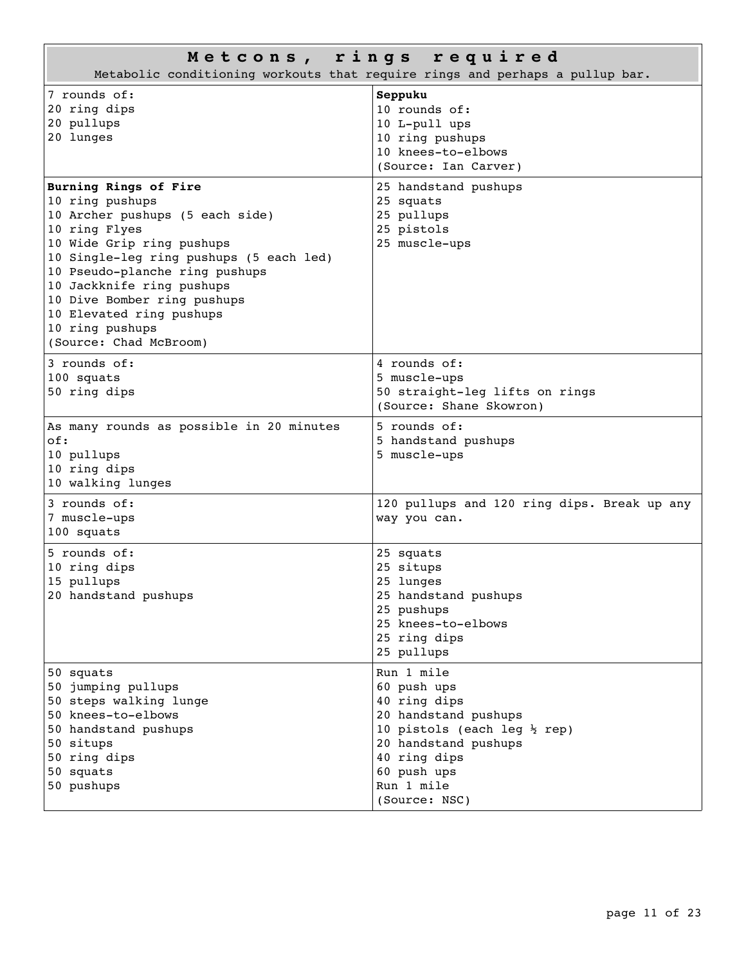| Metcons, rings required<br>Metabolic conditioning workouts that require rings and perhaps a pullup bar.                                                                                                                                                                                                                                     |                                                                                                                                                                                                    |  |
|---------------------------------------------------------------------------------------------------------------------------------------------------------------------------------------------------------------------------------------------------------------------------------------------------------------------------------------------|----------------------------------------------------------------------------------------------------------------------------------------------------------------------------------------------------|--|
| 7 rounds of:<br>20 ring dips<br>20 pullups<br>20 lunges                                                                                                                                                                                                                                                                                     | Seppuku<br>10 rounds of:<br>10 L-pull ups<br>10 ring pushups<br>10 knees-to-elbows<br>(Source: Ian Carver)                                                                                         |  |
| Burning Rings of Fire<br>10 ring pushups<br>10 Archer pushups (5 each side)<br>10 ring Flyes<br>10 Wide Grip ring pushups<br>10 Single-leg ring pushups (5 each led)<br>10 Pseudo-planche ring pushups<br>10 Jackknife ring pushups<br>10 Dive Bomber ring pushups<br>10 Elevated ring pushups<br>10 ring pushups<br>(Source: Chad McBroom) | 25 handstand pushups<br>25 squats<br>25 pullups<br>25 pistols<br>25 muscle-ups                                                                                                                     |  |
| 3 rounds of:<br>100 squats<br>50 ring dips                                                                                                                                                                                                                                                                                                  | 4 rounds of:<br>5 muscle-ups<br>50 straight-leg lifts on rings<br>(Source: Shane Skowron)                                                                                                          |  |
| As many rounds as possible in 20 minutes<br>of:<br>10 pullups<br>10 ring dips<br>10 walking lunges                                                                                                                                                                                                                                          | 5 rounds of:<br>5 handstand pushups<br>5 muscle-ups                                                                                                                                                |  |
| 3 rounds of:<br>7 muscle-ups<br>100 squats                                                                                                                                                                                                                                                                                                  | 120 pullups and 120 ring dips. Break up any<br>way you can.                                                                                                                                        |  |
| 5 rounds of:<br>10 ring dips<br>15 pullups<br>20 handstand pushups                                                                                                                                                                                                                                                                          | 25 squats<br>25 situps<br>25 lunges<br>25 handstand pushups<br>25 pushups<br>25 knees-to-elbows<br>25 ring dips<br>25 pullups                                                                      |  |
| 50 squats<br>50 jumping pullups<br>50 steps walking lunge<br>50 knees-to-elbows<br>50 handstand pushups<br>50 situps<br>50 ring dips<br>50 squats<br>50 pushups                                                                                                                                                                             | Run 1 mile<br>60 push ups<br>40 ring dips<br>20 handstand pushups<br>10 pistols (each leg $\frac{1}{2}$ rep)<br>20 handstand pushups<br>40 ring dips<br>60 push ups<br>Run 1 mile<br>(Source: NSC) |  |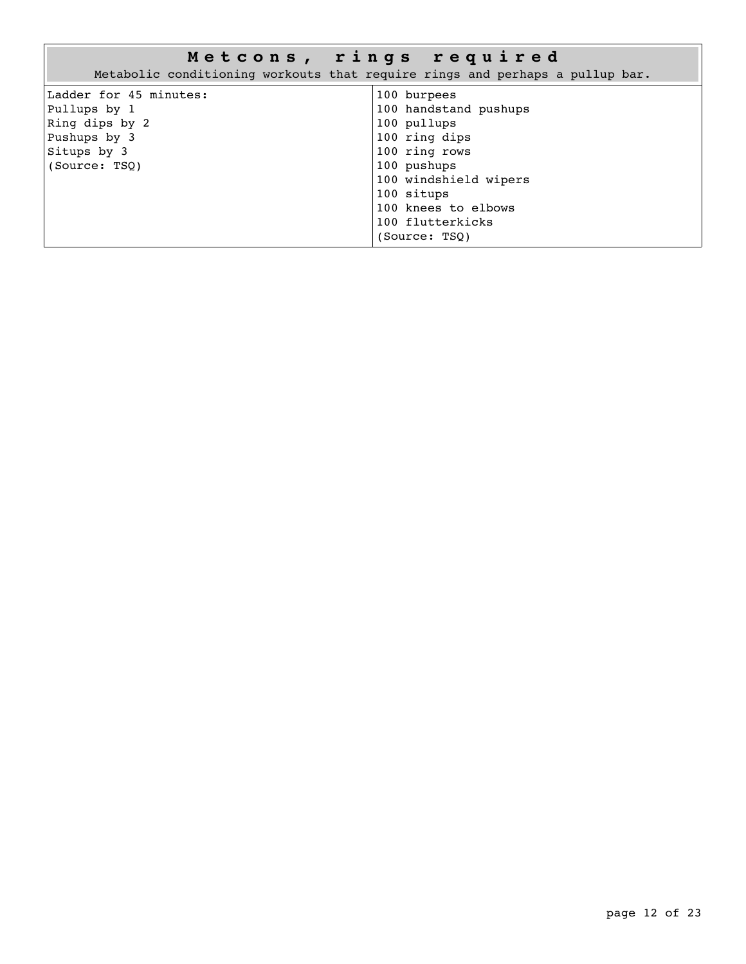|                                                                                                          | Metcons, rings required<br>Metabolic conditioning workouts that require rings and perhaps a pullup bar.                                                                                                 |
|----------------------------------------------------------------------------------------------------------|---------------------------------------------------------------------------------------------------------------------------------------------------------------------------------------------------------|
| Ladder for 45 minutes:<br>Pullups by 1<br>Ring dips by 2<br>Pushups by 3<br>Situps by 3<br>(Source: TSO) | 100 burpees<br>100 handstand pushups<br>100 pullups<br>100 ring dips<br>100 ring rows<br>100 pushups<br>100 windshield wipers<br>100 situps<br>100 knees to elbows<br>100 flutterkicks<br>(Source: TSO) |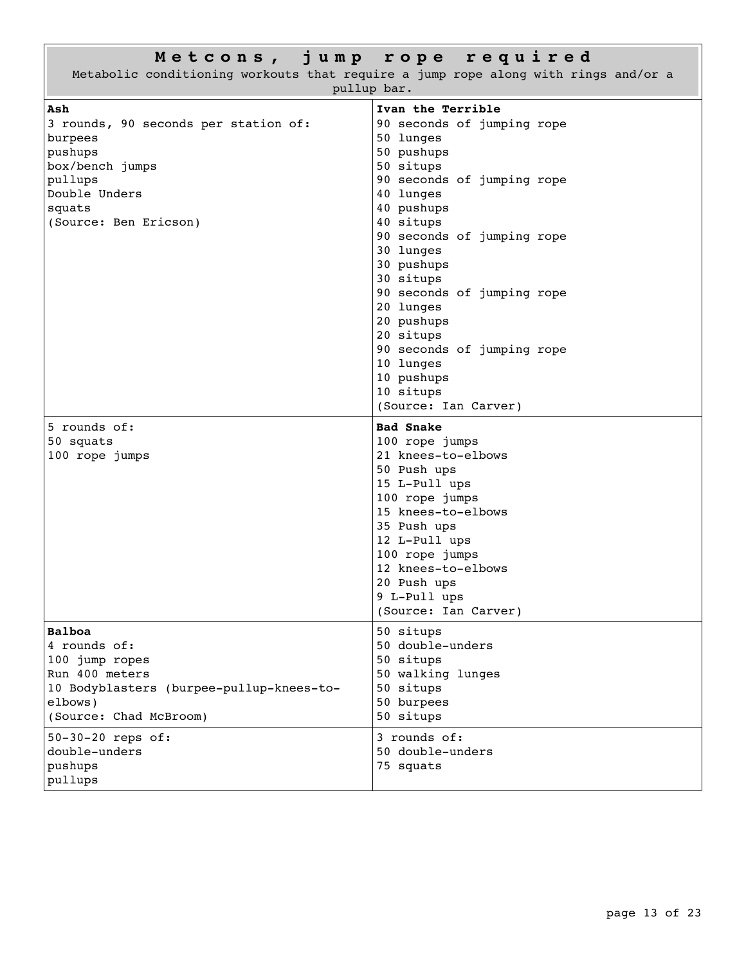|                                          | Metcons, jump rope required                                                        |  |
|------------------------------------------|------------------------------------------------------------------------------------|--|
|                                          | Metabolic conditioning workouts that require a jump rope along with rings and/or a |  |
| pullup bar.                              |                                                                                    |  |
| Ash                                      | Ivan the Terrible                                                                  |  |
| 3 rounds, 90 seconds per station of:     | 90 seconds of jumping rope                                                         |  |
| burpees                                  | 50 lunges                                                                          |  |
| pushups                                  | 50 pushups                                                                         |  |
| box/bench jumps                          | 50 situps                                                                          |  |
| pullups                                  | 90 seconds of jumping rope                                                         |  |
| Double Unders                            | 40 lunges                                                                          |  |
| squats                                   | 40 pushups                                                                         |  |
| (Source: Ben Ericson)                    | 40 situps                                                                          |  |
|                                          | 90 seconds of jumping rope                                                         |  |
|                                          | 30 lunges                                                                          |  |
|                                          | 30 pushups                                                                         |  |
|                                          | 30 situps                                                                          |  |
|                                          | 90 seconds of jumping rope                                                         |  |
|                                          | 20 lunges                                                                          |  |
|                                          | 20 pushups                                                                         |  |
|                                          | 20 situps                                                                          |  |
|                                          | 90 seconds of jumping rope                                                         |  |
|                                          | 10 lunges                                                                          |  |
|                                          | 10 pushups                                                                         |  |
|                                          | 10 situps                                                                          |  |
|                                          | (Source: Ian Carver)                                                               |  |
|                                          |                                                                                    |  |
| 5 rounds of:                             | <b>Bad Snake</b>                                                                   |  |
| 50 squats                                | 100 rope jumps                                                                     |  |
| 100 rope jumps                           | 21 knees-to-elbows                                                                 |  |
|                                          | 50 Push ups                                                                        |  |
|                                          | 15 L-Pull ups                                                                      |  |
|                                          | 100 rope jumps                                                                     |  |
|                                          | 15 knees-to-elbows                                                                 |  |
|                                          | 35 Push ups                                                                        |  |
|                                          | 12 L-Pull ups                                                                      |  |
|                                          | 100 rope jumps                                                                     |  |
|                                          | 12 knees-to-elbows                                                                 |  |
|                                          | 20 Push ups                                                                        |  |
|                                          | 9 L-Pull ups                                                                       |  |
|                                          | (Source: Ian Carver)                                                               |  |
| <b>Balboa</b>                            | 50 situps                                                                          |  |
| 4 rounds of:                             | 50 double-unders                                                                   |  |
| 100 jump ropes                           | 50 situps                                                                          |  |
| Run 400 meters                           | 50 walking lunges                                                                  |  |
| 10 Bodyblasters (burpee-pullup-knees-to- | 50 situps                                                                          |  |
| elbows)                                  | 50 burpees                                                                         |  |
| (Source: Chad McBroom)                   | 50 situps                                                                          |  |
|                                          | 3 rounds of:                                                                       |  |
| 50-30-20 reps of:<br>double-unders       | 50 double-unders                                                                   |  |
| pushups                                  | 75 squats                                                                          |  |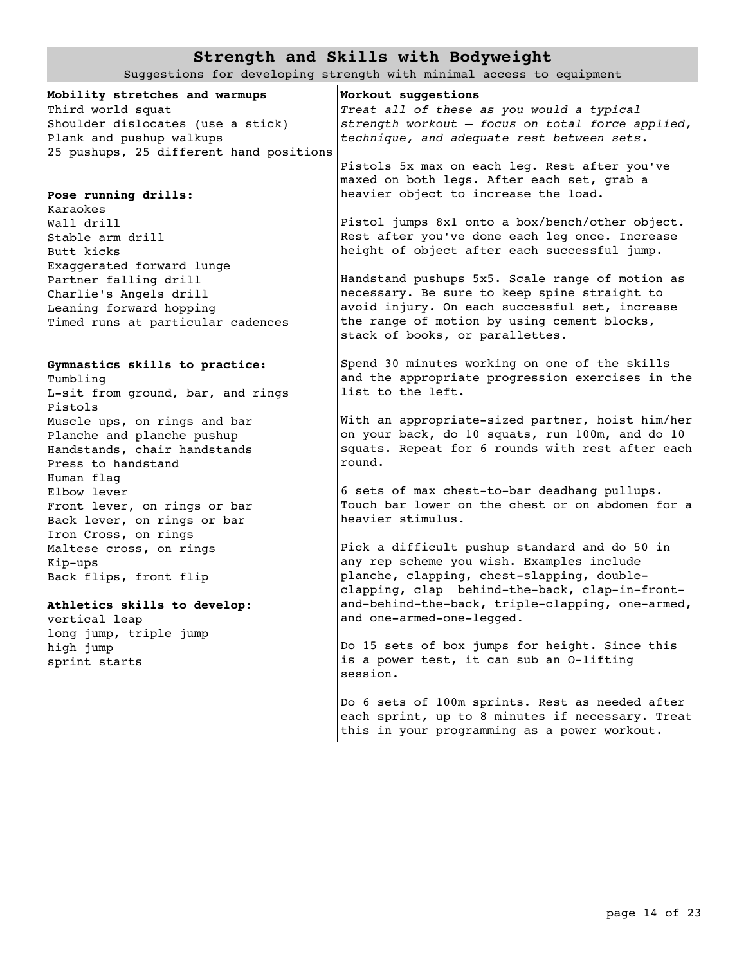## **Strength and Skills with Bodyweight**

Suggestions for developing strength with minimal access to equipment

| Mobility stretches and warmups          | Workout suggestions                              |
|-----------------------------------------|--------------------------------------------------|
| Third world squat                       | Treat all of these as you would a typical        |
| Shoulder dislocates (use a stick)       | strength workout - focus on total force applied, |
| Plank and pushup walkups                | technique, and adequate rest between sets.       |
| 25 pushups, 25 different hand positions |                                                  |
|                                         | Pistols 5x max on each leg. Rest after you've    |
|                                         | maxed on both legs. After each set, grab a       |
| Pose running drills:                    | heavier object to increase the load.             |
| Karaokes                                |                                                  |
| Wall drill                              | Pistol jumps 8x1 onto a box/bench/other object.  |
| Stable arm drill                        | Rest after you've done each leg once. Increase   |
| Butt kicks                              | height of object after each successful jump.     |
| Exaggerated forward lunge               |                                                  |
| Partner falling drill                   | Handstand pushups 5x5. Scale range of motion as  |
| Charlie's Angels drill                  | necessary. Be sure to keep spine straight to     |
| Leaning forward hopping                 | avoid injury. On each successful set, increase   |
| Timed runs at particular cadences       | the range of motion by using cement blocks,      |
|                                         | stack of books, or parallettes.                  |
|                                         |                                                  |
| Gymnastics skills to practice:          | Spend 30 minutes working on one of the skills    |
| Tumbling                                | and the appropriate progression exercises in the |
| L-sit from ground, bar, and rings       | list to the left.                                |
| Pistols                                 |                                                  |
| Muscle ups, on rings and bar            | With an appropriate-sized partner, hoist him/her |
| Planche and planche pushup              | on your back, do 10 squats, run 100m, and do 10  |
| Handstands, chair handstands            | squats. Repeat for 6 rounds with rest after each |
| Press to handstand                      | round.                                           |
| Human flag                              |                                                  |
| Elbow lever                             | 6 sets of max chest-to-bar deadhang pullups.     |
| Front lever, on rings or bar            | Touch bar lower on the chest or on abdomen for a |
| Back lever, on rings or bar             | heavier stimulus.                                |
| Iron Cross, on rings                    |                                                  |
| Maltese cross, on rings                 | Pick a difficult pushup standard and do 50 in    |
| Kip-ups                                 | any rep scheme you wish. Examples include        |
| Back flips, front flip                  | planche, clapping, chest-slapping, double-       |
|                                         | clapping, clap behind-the-back, clap-in-front-   |
| Athletics skills to develop:            | and-behind-the-back, triple-clapping, one-armed, |
| vertical leap                           | and one-armed-one-legged.                        |
|                                         |                                                  |
| long jump, triple jump                  | Do 15 sets of box jumps for height. Since this   |
| high jump                               | is a power test, it can sub an O-lifting         |
| sprint starts                           | session.                                         |
|                                         |                                                  |
|                                         | Do 6 sets of 100m sprints. Rest as needed after  |
|                                         | each sprint, up to 8 minutes if necessary. Treat |
|                                         | this in your programming as a power workout.     |
|                                         |                                                  |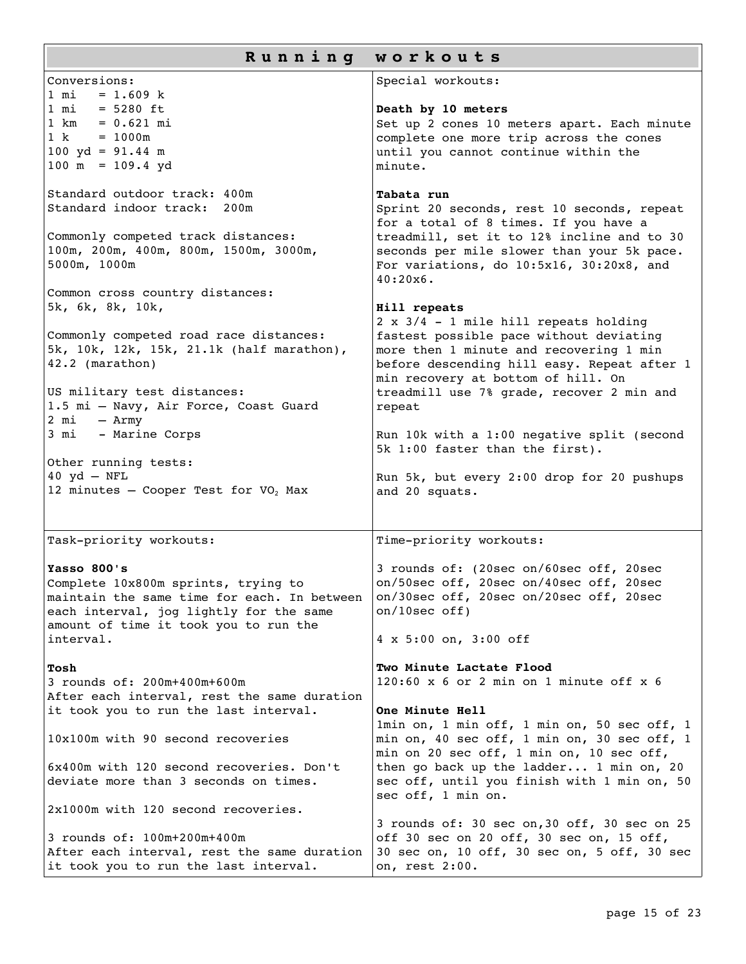| Running workouts                                                                                                                                                                                                                                                                                                                                                                                                                                                                                                                                     |                                                                                                                                                                                                                                                                                                                                                                                                                                                                                                                                                                                                                                                                                                      |  |
|------------------------------------------------------------------------------------------------------------------------------------------------------------------------------------------------------------------------------------------------------------------------------------------------------------------------------------------------------------------------------------------------------------------------------------------------------------------------------------------------------------------------------------------------------|------------------------------------------------------------------------------------------------------------------------------------------------------------------------------------------------------------------------------------------------------------------------------------------------------------------------------------------------------------------------------------------------------------------------------------------------------------------------------------------------------------------------------------------------------------------------------------------------------------------------------------------------------------------------------------------------------|--|
| Conversions:                                                                                                                                                                                                                                                                                                                                                                                                                                                                                                                                         | Special workouts:                                                                                                                                                                                                                                                                                                                                                                                                                                                                                                                                                                                                                                                                                    |  |
| $1 \text{ mi} = 1.609 \text{ k}$<br>$1 \text{ mi} = 5280 \text{ ft}$<br>$1 \text{ km} = 0.621 \text{ mi}$<br>$1 k = 1000m$<br>100 yd = $91.44$ m<br>$100 \text{ m} = 109.4 \text{ yd}$                                                                                                                                                                                                                                                                                                                                                               | Death by 10 meters<br>Set up 2 cones 10 meters apart. Each minute<br>complete one more trip across the cones<br>until you cannot continue within the<br>minute.                                                                                                                                                                                                                                                                                                                                                                                                                                                                                                                                      |  |
| Standard outdoor track: 400m<br>Standard indoor track:<br>200m<br>Commonly competed track distances:<br>100m, 200m, 400m, 800m, 1500m, 3000m,<br>5000m, 1000m<br>Common cross country distances:<br>5k, 6k, 8k, 10k,<br>Commonly competed road race distances:<br>5k, 10k, 12k, 15k, 21.1k (half marathon),<br>42.2 (marathon)<br>US military test distances:<br>1.5 mi - Navy, Air Force, Coast Guard<br>2 mi<br>- Army<br>- Marine Corps<br>3 mi<br>Other running tests:<br>$40 \text{ yd} - \text{NFL}$<br>12 minutes - Cooper Test for $VO2$ Max | Tabata run<br>Sprint 20 seconds, rest 10 seconds, repeat<br>for a total of 8 times. If you have a<br>treadmill, set it to 12% incline and to 30<br>seconds per mile slower than your 5k pace.<br>For variations, do 10:5x16, 30:20x8, and<br>$40:20x6$ .<br>Hill repeats<br>2 x 3/4 - 1 mile hill repeats holding<br>fastest possible pace without deviating<br>more then 1 minute and recovering 1 min<br>before descending hill easy. Repeat after 1<br>min recovery at bottom of hill. On<br>treadmill use 7% grade, recover 2 min and<br>repeat<br>Run 10k with a 1:00 negative split (second<br>5k 1:00 faster than the first).<br>Run 5k, but every 2:00 drop for 20 pushups<br>and 20 squats. |  |
| Task-priority workouts:                                                                                                                                                                                                                                                                                                                                                                                                                                                                                                                              | Time-priority workouts:                                                                                                                                                                                                                                                                                                                                                                                                                                                                                                                                                                                                                                                                              |  |
| Yasso 800's<br>Complete 10x800m sprints, trying to<br>maintain the same time for each. In between<br>each interval, jog lightly for the same<br>amount of time it took you to run the<br>interval.                                                                                                                                                                                                                                                                                                                                                   | 3 rounds of: (20sec on/60sec off, 20sec<br>on/50sec off, 20sec on/40sec off, 20sec<br>on/30sec off, 20sec on/20sec off, 20sec<br>on/10sec off)<br>4 x 5:00 on, 3:00 off                                                                                                                                                                                                                                                                                                                                                                                                                                                                                                                              |  |
| Tosh<br>3 rounds of: 200m+400m+600m<br>After each interval, rest the same duration<br>it took you to run the last interval.<br>10x100m with 90 second recoveries<br>6x400m with 120 second recoveries. Don't<br>deviate more than 3 seconds on times.                                                                                                                                                                                                                                                                                                | Two Minute Lactate Flood<br>$120:60 \times 6$ or 2 min on 1 minute off $x 6$<br>One Minute Hell<br>1min on, 1 min off, 1 min on, 50 sec off, 1<br>min on, 40 sec off, 1 min on, 30 sec off, 1<br>min on 20 sec off, 1 min on, 10 sec off,<br>then go back up the ladder 1 min on, 20<br>sec off, until you finish with 1 min on, 50<br>sec off, 1 min on.                                                                                                                                                                                                                                                                                                                                            |  |
| 2x1000m with 120 second recoveries.<br>3 rounds of: 100m+200m+400m<br>After each interval, rest the same duration<br>it took you to run the last interval.                                                                                                                                                                                                                                                                                                                                                                                           | 3 rounds of: 30 sec on, 30 off, 30 sec on 25<br>off 30 sec on 20 off, 30 sec on, 15 off,<br>30 sec on, 10 off, 30 sec on, 5 off, 30 sec<br>on, rest 2:00.                                                                                                                                                                                                                                                                                                                                                                                                                                                                                                                                            |  |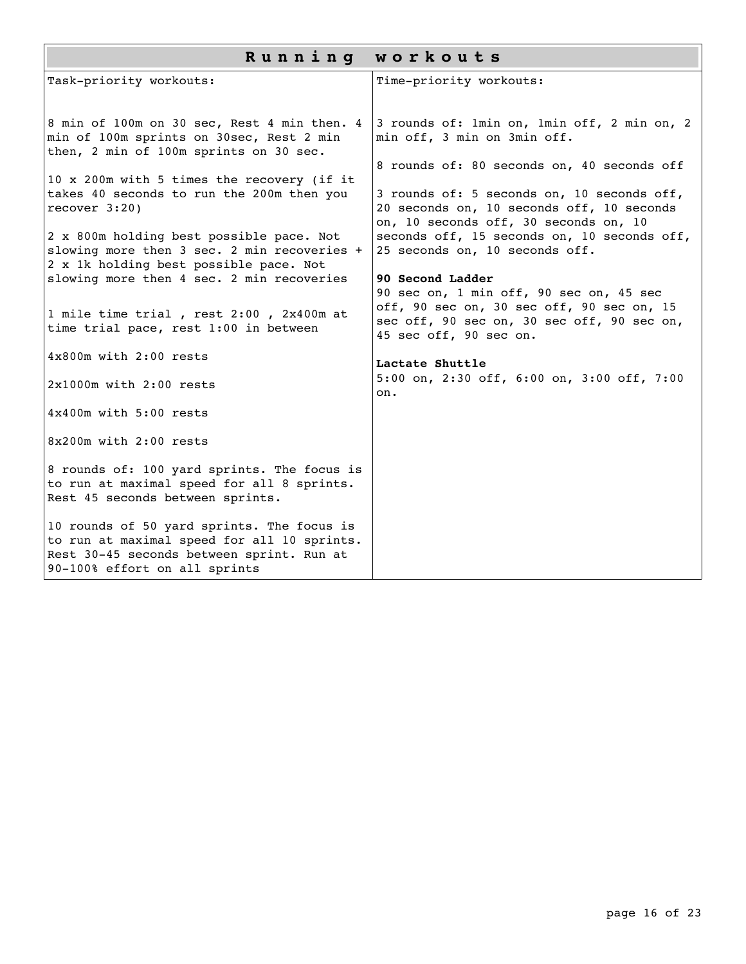| Running workouts                                                                                                                                                        |                                                                                                                                  |  |
|-------------------------------------------------------------------------------------------------------------------------------------------------------------------------|----------------------------------------------------------------------------------------------------------------------------------|--|
| Task-priority workouts:                                                                                                                                                 | Time-priority workouts:                                                                                                          |  |
| 8 min of 100m on 30 sec, Rest 4 min then. 4<br>min of 100m sprints on 30sec, Rest 2 min<br>then, 2 min of 100m sprints on 30 sec.                                       | 3 rounds of: 1min on, 1min off, 2 min on, 2<br>min off, 3 min on 3min off.                                                       |  |
| 10 x 200m with 5 times the recovery (if it                                                                                                                              | 8 rounds of: 80 seconds on, 40 seconds off                                                                                       |  |
| takes 40 seconds to run the 200m then you<br>recover $3:20$ )                                                                                                           | 3 rounds of: 5 seconds on, 10 seconds off,<br>20 seconds on, 10 seconds off, 10 seconds<br>on, 10 seconds off, 30 seconds on, 10 |  |
| 2 x 800m holding best possible pace. Not<br>slowing more then 3 sec. 2 min recoveries +<br>2 x 1k holding best possible pace. Not                                       | seconds off, 15 seconds on, 10 seconds off,<br>25 seconds on, 10 seconds off.                                                    |  |
| slowing more then 4 sec. 2 min recoveries                                                                                                                               | 90 Second Ladder<br>90 sec on, 1 min off, 90 sec on, 45 sec                                                                      |  |
| 1 mile time trial, rest 2:00, 2x400m at<br>time trial pace, rest 1:00 in between                                                                                        | off, 90 sec on, 30 sec off, 90 sec on, 15<br>sec off, 90 sec on, 30 sec off, 90 sec on,<br>45 sec off, 90 sec on.                |  |
| $4 \times 800$ m with $2:00$ rests                                                                                                                                      | Lactate Shuttle                                                                                                                  |  |
| $2x1000m$ with $2:00$ rests                                                                                                                                             | 5:00 on, 2:30 off, 6:00 on, 3:00 off, 7:00<br>on.                                                                                |  |
| 4x400m with 5:00 rests                                                                                                                                                  |                                                                                                                                  |  |
| 8x200m with 2:00 rests                                                                                                                                                  |                                                                                                                                  |  |
| 8 rounds of: 100 yard sprints. The focus is<br>to run at maximal speed for all 8 sprints.<br>Rest 45 seconds between sprints.                                           |                                                                                                                                  |  |
| 10 rounds of 50 yard sprints. The focus is<br>to run at maximal speed for all 10 sprints.<br>Rest 30-45 seconds between sprint. Run at<br>90-100% effort on all sprints |                                                                                                                                  |  |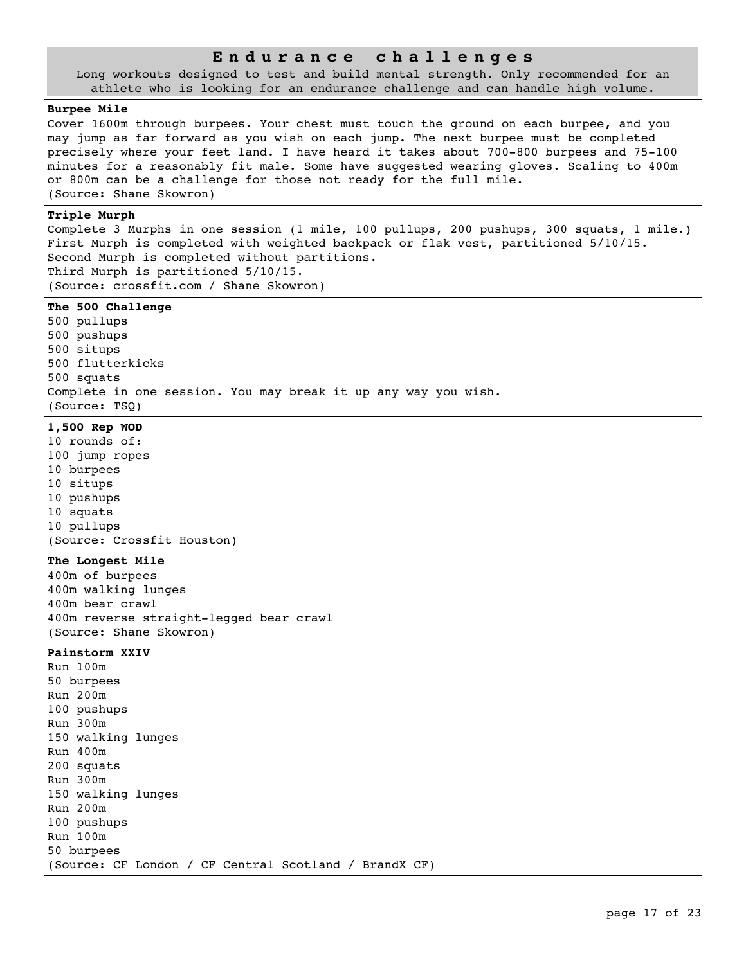## **E n d u r a n c e c h a l l e n g e s**

Long workouts designed to test and build mental strength. Only recommended for an athlete who is looking for an endurance challenge and can handle high volume.

#### **Burpee Mile**

Cover 1600m through burpees. Your chest must touch the ground on each burpee, and you may jump as far forward as you wish on each jump. The next burpee must be completed precisely where your feet land. I have heard it takes about 700-800 burpees and 75-100 minutes for a reasonably fit male. Some have suggested wearing gloves. Scaling to 400m or 800m can be a challenge for those not ready for the full mile. (Source: Shane Skowron)

#### **Triple Murph**

Complete 3 Murphs in one session (1 mile, 100 pullups, 200 pushups, 300 squats, 1 mile.) First Murph is completed with weighted backpack or flak vest, partitioned 5/10/15. Second Murph is completed without partitions. Third Murph is partitioned 5/10/15. (Source: crossfit.com / Shane Skowron)

#### **The 500 Challenge**

500 pullups 500 pushups 500 situps 500 flutterkicks 500 squats Complete in one session. You may break it up any way you wish. (Source: TSQ)

#### **1,500 Rep WOD**

10 rounds of: 100 jump ropes 10 burpees 10 situps 10 pushups 10 squats 10 pullups (Source: Crossfit Houston)

### **The Longest Mile**

400m of burpees 400m walking lunges 400m bear crawl 400m reverse straight-legged bear crawl (Source: Shane Skowron)

#### **Painstorm XXIV**

Run 100m 50 burpees Run 200m 100 pushups Run 300m 150 walking lunges Run 400m 200 squats Run 300m 150 walking lunges Run 200m 100 pushups Run 100m 50 burpees (Source: CF London / CF Central Scotland / BrandX CF)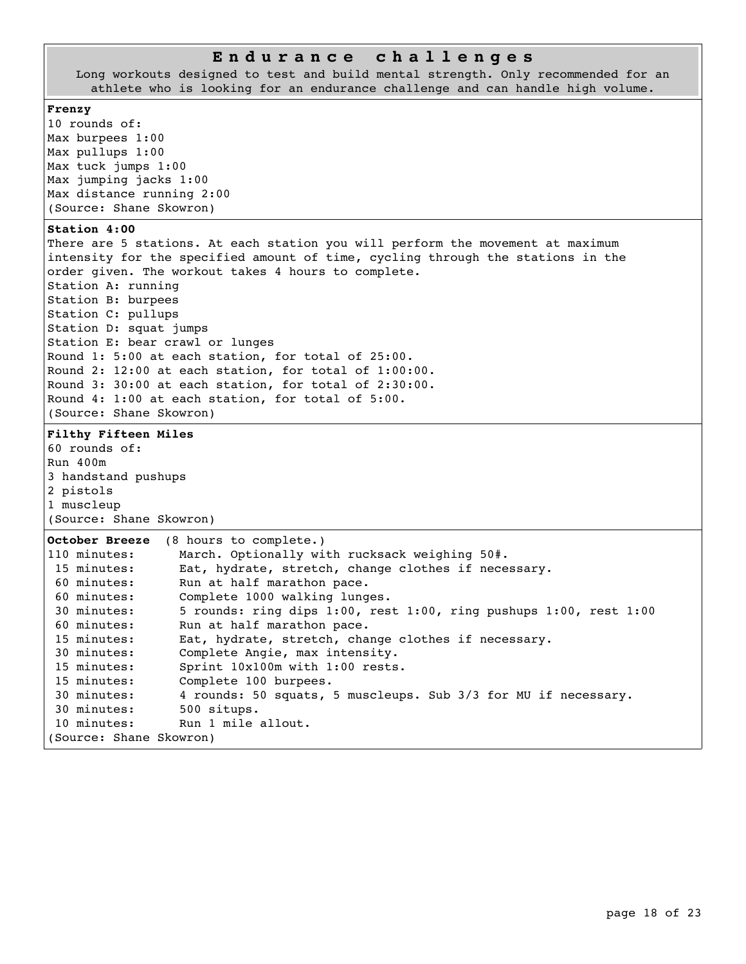### **E n d u r a n c e c h a l l e n g e s**

Long workouts designed to test and build mental strength. Only recommended for an athlete who is looking for an endurance challenge and can handle high volume.

#### **Frenzy**

10 rounds of: Max burpees 1:00 Max pullups 1:00 Max tuck jumps 1:00 Max jumping jacks 1:00 Max distance running 2:00 (Source: Shane Skowron)

## **Station 4:00**

There are 5 stations. At each station you will perform the movement at maximum intensity for the specified amount of time, cycling through the stations in the order given. The workout takes 4 hours to complete. Station A: running Station B: burpees Station C: pullups Station D: squat jumps Station E: bear crawl or lunges Round 1: 5:00 at each station, for total of 25:00. Round 2: 12:00 at each station, for total of 1:00:00. Round 3: 30:00 at each station, for total of 2:30:00. Round 4: 1:00 at each station, for total of 5:00. (Source: Shane Skowron)

**Filthy Fifteen Miles** 60 rounds of:

```
Run 400m
3 handstand pushups
2 pistols
```
1 muscleup (Source: Shane Skowron)

| October Breeze          | (8 hours to complete.)                                                       |
|-------------------------|------------------------------------------------------------------------------|
| 110 minutes:            | March. Optionally with rucksack weighing 50#.                                |
| 15 minutes:             | Eat, hydrate, stretch, change clothes if necessary.                          |
| 60 minutes:             | Run at half marathon pace.                                                   |
| 60 minutes:             | Complete 1000 walking lunges.                                                |
| 30 minutes:             | 5 rounds: ring dips $1:00$ , rest $1:00$ , ring pushups $1:00$ , rest $1:00$ |
| 60 minutes:             | Run at half marathon pace.                                                   |
| 15 minutes:             | Eat, hydrate, stretch, change clothes if necessary.                          |
| 30 minutes:             | Complete Angie, max intensity.                                               |
| 15 minutes:             | Sprint 10x100m with 1:00 rests.                                              |
| 15 minutes:             | Complete 100 burpees.                                                        |
| 30 minutes:             | 4 rounds: 50 squats, 5 muscleups. Sub 3/3 for MU if necessary.               |
| 30 minutes:             | 500 situps.                                                                  |
| 10 minutes:             | Run 1 mile allout.                                                           |
| (Source: Shane Skowron) |                                                                              |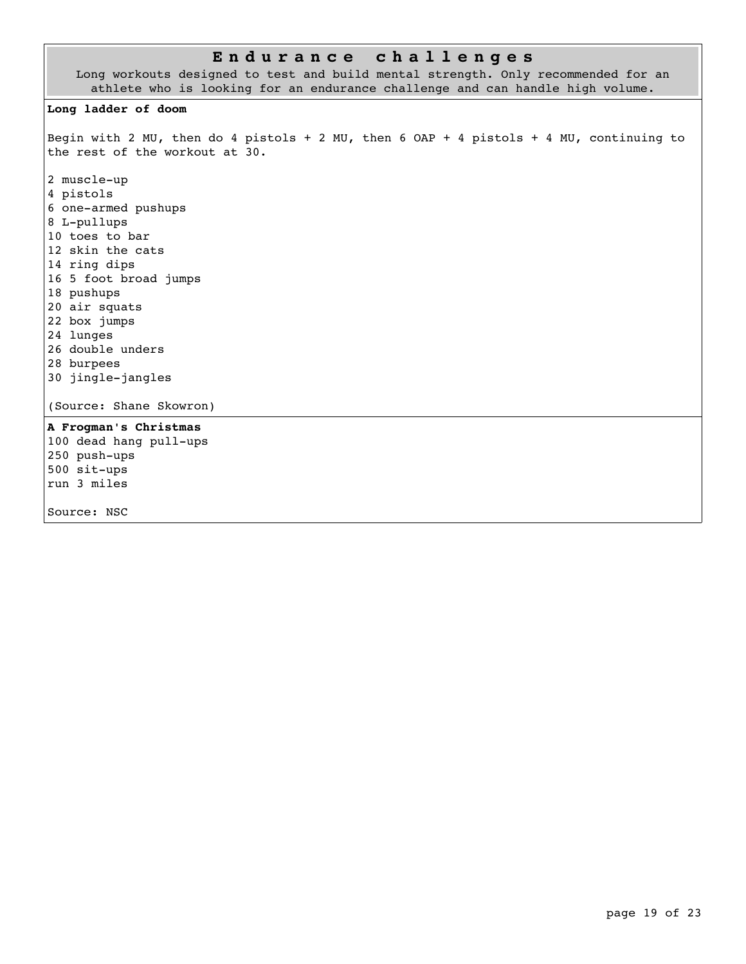## **E n d u r a n c e c h a l l e n g e s**

Long workouts designed to test and build mental strength. Only recommended for an athlete who is looking for an endurance challenge and can handle high volume.

#### **Long ladder of doom**

Begin with 2 MU, then do 4 pistols + 2 MU, then 6 OAP + 4 pistols + 4 MU, continuing to the rest of the workout at 30.

2 muscle-up 4 pistols 6 one-armed pushups 8 L-pullups 10 toes to bar 12 skin the cats 14 ring dips 16 5 foot broad jumps 18 pushups 20 air squats 22 box jumps 24 lunges 26 double unders 28 burpees 30 jingle-jangles

(Source: Shane Skowron)

**A Frogman's Christmas** 100 dead hang pull-ups 250 push-ups 500 sit-ups run 3 miles

Source: NSC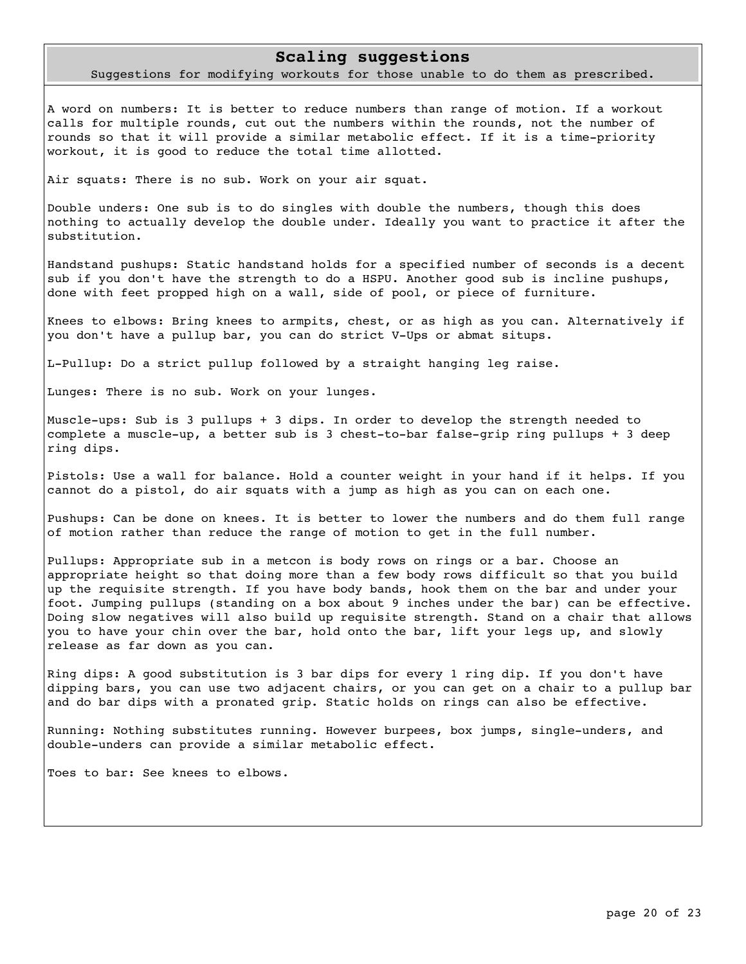### **Scaling suggestions**

Suggestions for modifying workouts for those unable to do them as prescribed.

A word on numbers: It is better to reduce numbers than range of motion. If a workout calls for multiple rounds, cut out the numbers within the rounds, not the number of rounds so that it will provide a similar metabolic effect. If it is a time-priority workout, it is good to reduce the total time allotted.

Air squats: There is no sub. Work on your air squat.

Double unders: One sub is to do singles with double the numbers, though this does nothing to actually develop the double under. Ideally you want to practice it after the substitution.

Handstand pushups: Static handstand holds for a specified number of seconds is a decent sub if you don't have the strength to do a HSPU. Another good sub is incline pushups, done with feet propped high on a wall, side of pool, or piece of furniture.

Knees to elbows: Bring knees to armpits, chest, or as high as you can. Alternatively if you don't have a pullup bar, you can do strict V-Ups or abmat situps.

L-Pullup: Do a strict pullup followed by a straight hanging leg raise.

Lunges: There is no sub. Work on your lunges.

Muscle-ups: Sub is 3 pullups + 3 dips. In order to develop the strength needed to complete a muscle-up, a better sub is 3 chest-to-bar false-grip ring pullups + 3 deep ring dips.

Pistols: Use a wall for balance. Hold a counter weight in your hand if it helps. If you cannot do a pistol, do air squats with a jump as high as you can on each one.

Pushups: Can be done on knees. It is better to lower the numbers and do them full range of motion rather than reduce the range of motion to get in the full number.

Pullups: Appropriate sub in a metcon is body rows on rings or a bar. Choose an appropriate height so that doing more than a few body rows difficult so that you build up the requisite strength. If you have body bands, hook them on the bar and under your foot. Jumping pullups (standing on a box about 9 inches under the bar) can be effective. Doing slow negatives will also build up requisite strength. Stand on a chair that allows you to have your chin over the bar, hold onto the bar, lift your legs up, and slowly release as far down as you can.

Ring dips: A good substitution is 3 bar dips for every 1 ring dip. If you don't have dipping bars, you can use two adjacent chairs, or you can get on a chair to a pullup bar and do bar dips with a pronated grip. Static holds on rings can also be effective.

Running: Nothing substitutes running. However burpees, box jumps, single-unders, and double-unders can provide a similar metabolic effect.

Toes to bar: See knees to elbows.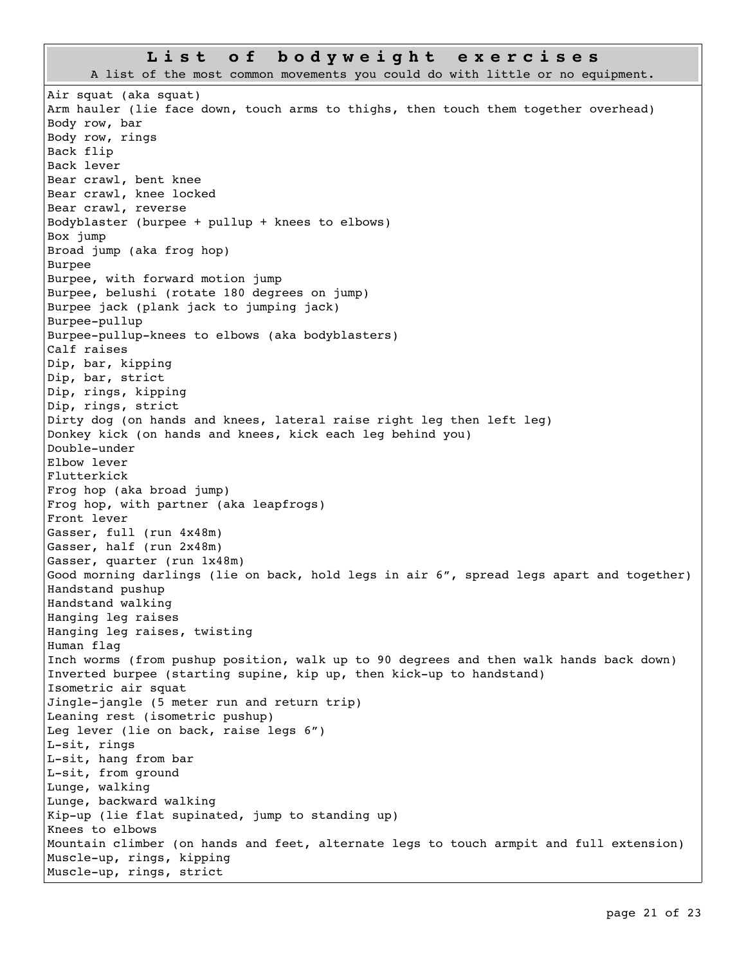#### **L i s t o f b o d y w e i g h t e x e r c i s e s**

A list of the most common movements you could do with little or no equipment. Air squat (aka squat) Arm hauler (lie face down, touch arms to thighs, then touch them together overhead) Body row, bar Body row, rings Back flip Back lever Bear crawl, bent knee Bear crawl, knee locked Bear crawl, reverse Bodyblaster (burpee + pullup + knees to elbows) Box jump Broad jump (aka frog hop) Burpee Burpee, with forward motion jump Burpee, belushi (rotate 180 degrees on jump) Burpee jack (plank jack to jumping jack) Burpee-pullup Burpee-pullup-knees to elbows (aka bodyblasters) Calf raises Dip, bar, kipping Dip, bar, strict Dip, rings, kipping Dip, rings, strict Dirty dog (on hands and knees, lateral raise right leg then left leg) Donkey kick (on hands and knees, kick each leg behind you) Double-under Elbow lever Flutterkick Frog hop (aka broad jump) Frog hop, with partner (aka leapfrogs) Front lever Gasser, full (run 4x48m) Gasser, half (run 2x48m) Gasser, quarter (run 1x48m) Good morning darlings (lie on back, hold legs in air 6", spread legs apart and together) Handstand pushup Handstand walking Hanging leg raises Hanging leg raises, twisting Human flag Inch worms (from pushup position, walk up to 90 degrees and then walk hands back down) Inverted burpee (starting supine, kip up, then kick-up to handstand) Isometric air squat Jingle-jangle (5 meter run and return trip) Leaning rest (isometric pushup) Leg lever (lie on back, raise legs 6") L-sit, rings L-sit, hang from bar L-sit, from ground Lunge, walking Lunge, backward walking Kip-up (lie flat supinated, jump to standing up) Knees to elbows Mountain climber (on hands and feet, alternate legs to touch armpit and full extension) Muscle-up, rings, kipping Muscle-up, rings, strict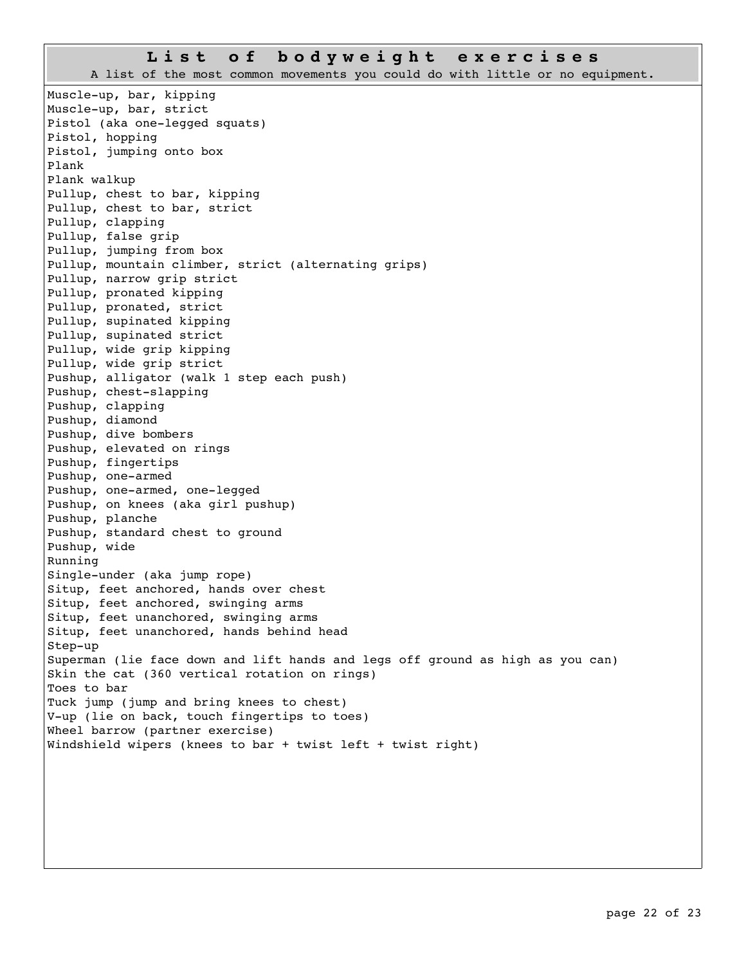## **L i s t o f b o d y w e i g h t e x e r c i s e s**

A list of the most common movements you could do with little or no equipment.

Muscle-up, bar, kipping Muscle-up, bar, strict Pistol (aka one-legged squats) Pistol, hopping Pistol, jumping onto box Plank Plank walkup Pullup, chest to bar, kipping Pullup, chest to bar, strict Pullup, clapping Pullup, false grip Pullup, jumping from box Pullup, mountain climber, strict (alternating grips) Pullup, narrow grip strict Pullup, pronated kipping Pullup, pronated, strict Pullup, supinated kipping Pullup, supinated strict Pullup, wide grip kipping Pullup, wide grip strict Pushup, alligator (walk 1 step each push) Pushup, chest-slapping Pushup, clapping Pushup, diamond Pushup, dive bombers Pushup, elevated on rings Pushup, fingertips Pushup, one-armed Pushup, one-armed, one-legged Pushup, on knees (aka girl pushup) Pushup, planche Pushup, standard chest to ground Pushup, wide Running Single-under (aka jump rope) Situp, feet anchored, hands over chest Situp, feet anchored, swinging arms Situp, feet unanchored, swinging arms Situp, feet unanchored, hands behind head Step-up Superman (lie face down and lift hands and legs off ground as high as you can) Skin the cat (360 vertical rotation on rings) Toes to bar Tuck jump (jump and bring knees to chest) V-up (lie on back, touch fingertips to toes) Wheel barrow (partner exercise) Windshield wipers (knees to bar + twist left + twist right)